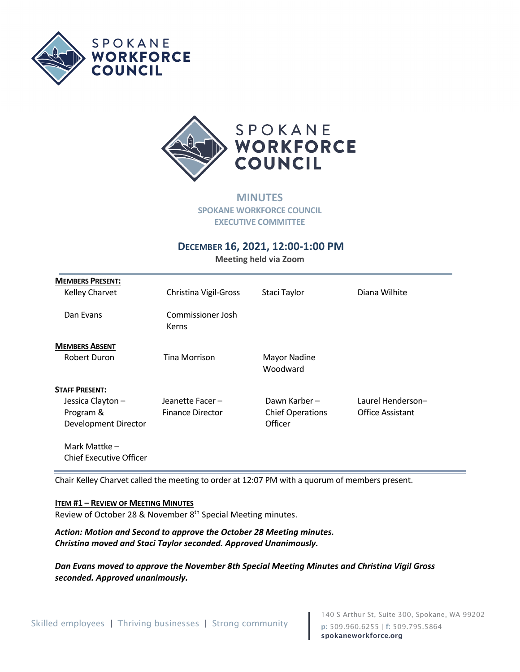



**MINUTES SPOKANE WORKFORCE COUNCIL EXECUTIVE COMMITTEE**

# **DECEMBER 16, 2021, 12:00-1:00 PM**

**Meeting held via Zoom** 

| <b>MEMBERS PRESENT:</b> |                            |                          |                         |
|-------------------------|----------------------------|--------------------------|-------------------------|
| Kelley Charvet          | Christina Vigil-Gross      | Staci Taylor             | Diana Wilhite           |
|                         |                            |                          |                         |
| Dan Evans               | Commissioner Josh<br>Kerns |                          |                         |
| <b>MEMBERS ABSENT</b>   |                            |                          |                         |
| Robert Duron            | Tina Morrison              | Mayor Nadine<br>Woodward |                         |
| <b>STAFF PRESENT:</b>   |                            |                          |                         |
| Jessica Clayton -       | Jeanette Facer-            | Dawn Karber –            | Laurel Henderson-       |
| Program &               | <b>Finance Director</b>    | <b>Chief Operations</b>  | <b>Office Assistant</b> |
| Development Director    |                            | Officer                  |                         |
| Mark Mattke -           |                            |                          |                         |
| Chief Executive Officer |                            |                          |                         |

Chair Kelley Charvet called the meeting to order at 12:07 PM with a quorum of members present.

#### **ITEM #1 – REVIEW OF MEETING MINUTES**

Review of October 28 & November 8<sup>th</sup> Special Meeting minutes.

*Action: Motion and Second to approve the October 28 Meeting minutes. Christina moved and Staci Taylor seconded. Approved Unanimously.*

*Dan Evans moved to approve the November 8th Special Meeting Minutes and Christina Vigil Gross seconded. Approved unanimously.*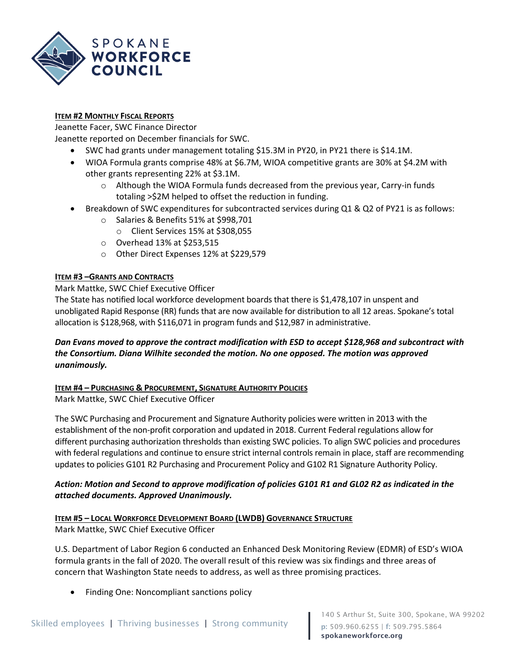

# **ITEM #2 MONTHLY FISCAL REPORTS**

Jeanette Facer, SWC Finance Director

Jeanette reported on December financials for SWC.

- SWC had grants under management totaling \$15.3M in PY20, in PY21 there is \$14.1M.
- WIOA Formula grants comprise 48% at \$6.7M, WIOA competitive grants are 30% at \$4.2M with other grants representing 22% at \$3.1M.
	- $\circ$  Although the WIOA Formula funds decreased from the previous year, Carry-in funds totaling >\$2M helped to offset the reduction in funding.
- Breakdown of SWC expenditures for subcontracted services during Q1 & Q2 of PY21 is as follows:
	- o Salaries & Benefits 51% at \$998,701
		- o Client Services 15% at \$308,055
	- o Overhead 13% at \$253,515
	- o Other Direct Expenses 12% at \$229,579

# **ITEM #3 –GRANTS AND CONTRACTS**

Mark Mattke, SWC Chief Executive Officer

The State has notified local workforce development boards that there is \$1,478,107 in unspent and unobligated Rapid Response (RR) funds that are now available for distribution to all 12 areas. Spokane's total allocation is \$128,968, with \$116,071 in program funds and \$12,987 in administrative.

# *Dan Evans moved to approve the contract modification with ESD to accept \$128,968 and subcontract with the Consortium. Diana Wilhite seconded the motion. No one opposed. The motion was approved unanimously.*

## **ITEM #4 – PURCHASING & PROCUREMENT, SIGNATURE AUTHORITY POLICIES**

Mark Mattke, SWC Chief Executive Officer

The SWC Purchasing and Procurement and Signature Authority policies were written in 2013 with the establishment of the non-profit corporation and updated in 2018. Current Federal regulations allow for different purchasing authorization thresholds than existing SWC policies. To align SWC policies and procedures with federal regulations and continue to ensure strict internal controls remain in place, staff are recommending updates to policies G101 R2 Purchasing and Procurement Policy and G102 R1 Signature Authority Policy.

# *Action: Motion and Second to approve modification of policies G101 R1 and GL02 R2 as indicated in the attached documents. Approved Unanimously.*

## **ITEM #5 – LOCAL WORKFORCE DEVELOPMENT BOARD (LWDB) GOVERNANCE STRUCTURE**

Mark Mattke, SWC Chief Executive Officer

U.S. Department of Labor Region 6 conducted an Enhanced Desk Monitoring Review (EDMR) of ESD's WIOA formula grants in the fall of 2020. The overall result of this review was six findings and three areas of concern that Washington State needs to address, as well as three promising practices.

• Finding One: Noncompliant sanctions policy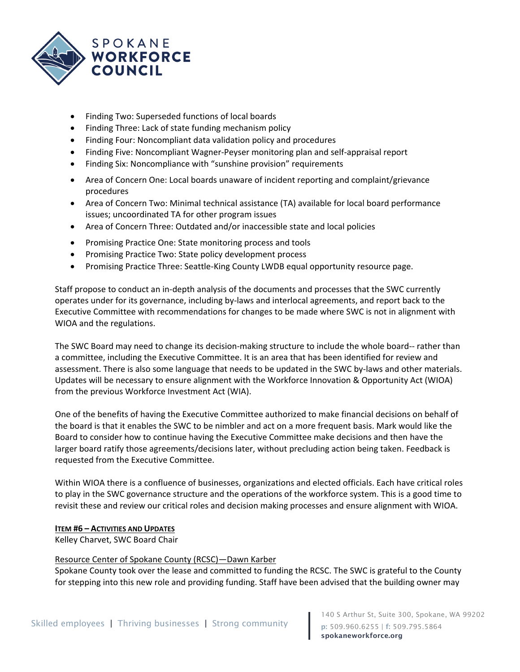

- Finding Two: Superseded functions of local boards
- Finding Three: Lack of state funding mechanism policy
- Finding Four: Noncompliant data validation policy and procedures
- Finding Five: Noncompliant Wagner-Peyser monitoring plan and self-appraisal report
- Finding Six: Noncompliance with "sunshine provision" requirements
- Area of Concern One: Local boards unaware of incident reporting and complaint/grievance procedures
- Area of Concern Two: Minimal technical assistance (TA) available for local board performance issues; uncoordinated TA for other program issues
- Area of Concern Three: Outdated and/or inaccessible state and local policies
- Promising Practice One: State monitoring process and tools
- Promising Practice Two: State policy development process
- Promising Practice Three: Seattle-King County LWDB equal opportunity resource page.

Staff propose to conduct an in-depth analysis of the documents and processes that the SWC currently operates under for its governance, including by-laws and interlocal agreements, and report back to the Executive Committee with recommendations for changes to be made where SWC is not in alignment with WIOA and the regulations.

The SWC Board may need to change its decision-making structure to include the whole board-- rather than a committee, including the Executive Committee. It is an area that has been identified for review and assessment. There is also some language that needs to be updated in the SWC by-laws and other materials. Updates will be necessary to ensure alignment with the Workforce Innovation & Opportunity Act (WIOA) from the previous Workforce Investment Act (WIA).

One of the benefits of having the Executive Committee authorized to make financial decisions on behalf of the board is that it enables the SWC to be nimbler and act on a more frequent basis. Mark would like the Board to consider how to continue having the Executive Committee make decisions and then have the larger board ratify those agreements/decisions later, without precluding action being taken. Feedback is requested from the Executive Committee.

Within WIOA there is a confluence of businesses, organizations and elected officials. Each have critical roles to play in the SWC governance structure and the operations of the workforce system. This is a good time to revisit these and review our critical roles and decision making processes and ensure alignment with WIOA.

## **ITEM #6 – ACTIVITIES AND UPDATES**

Kelley Charvet, SWC Board Chair

## Resource Center of Spokane County (RCSC)—Dawn Karber

Spokane County took over the lease and committed to funding the RCSC. The SWC is grateful to the County for stepping into this new role and providing funding. Staff have been advised that the building owner may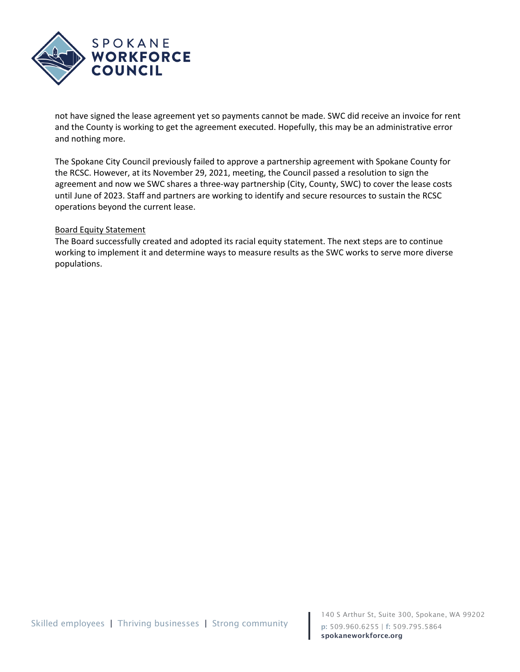

not have signed the lease agreement yet so payments cannot be made. SWC did receive an invoice for rent and the County is working to get the agreement executed. Hopefully, this may be an administrative error and nothing more.

The Spokane City Council previously failed to approve a partnership agreement with Spokane County for the RCSC. However, at its November 29, 2021, meeting, the Council passed a resolution to sign the agreement and now we SWC shares a three-way partnership (City, County, SWC) to cover the lease costs until June of 2023. Staff and partners are working to identify and secure resources to sustain the RCSC operations beyond the current lease.

#### Board Equity Statement

The Board successfully created and adopted its racial equity statement. The next steps are to continue working to implement it and determine ways to measure results as the SWC works to serve more diverse populations.

140 S Arthur St, Suite 300, Spokane, WA 99202 p: 509.960.6255 | f: 509.795.5864 spokaneworkforce.org